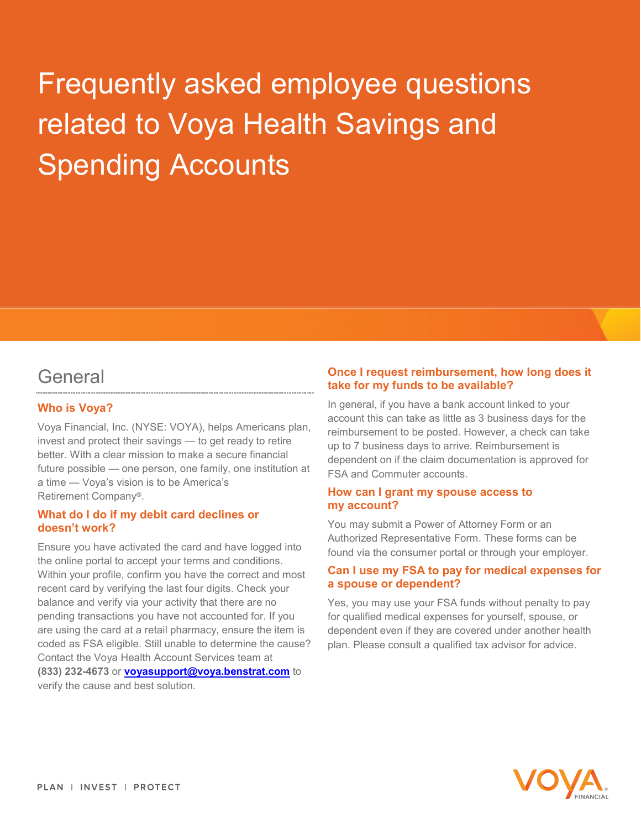# Frequently asked employee questions related to Voya Health Savings and Spending Accounts

# General

# **Who is Voya?**

Voya Financial, Inc. (NYSE: VOYA), helps Americans plan, invest and protect their savings — to get ready to retire better. With a clear mission to make a secure financial future possible — one person, one family, one institution at a time — Voya's vision is to be America's Retirement Company®.

#### **What do I do if my debit card declines or doesn't work?**

Ensure you have activated the card and have logged into the online portal to accept your terms and conditions. Within your profile, confirm you have the correct and most recent card by verifying the last four digits. Check your balance and verify via your activity that there are no pending transactions you have not accounted for. If you are using the card at a retail pharmacy, ensure the item is coded as FSA eligible. Still unable to determine the cause? Contact the Voya Health Account Services team at **(833) 232-4673** or **[voyasupport@voya.benstrat.com](mailto:voyasupport@voya.benstrat.com)** to verify the cause and best solution.

#### **Once I request reimbursement, how long does it take for my funds to be available?**

In general, if you have a bank account linked to your account this can take as little as 3 business days for the reimbursement to be posted. However, a check can take up to 7 business days to arrive. Reimbursement is dependent on if the claim documentation is approved for FSA and Commuter accounts.

#### **How can I grant my spouse access to my account?**

You may submit a Power of Attorney Form or an Authorized Representative Form. These forms can be found via the consumer portal or through your employer.

#### **Can I use my FSA to pay for medical expenses for a spouse or dependent?**

Yes, you may use your FSA funds without penalty to pay for qualified medical expenses for yourself, spouse, or dependent even if they are covered under another health plan. Please consult a qualified tax advisor for advice.